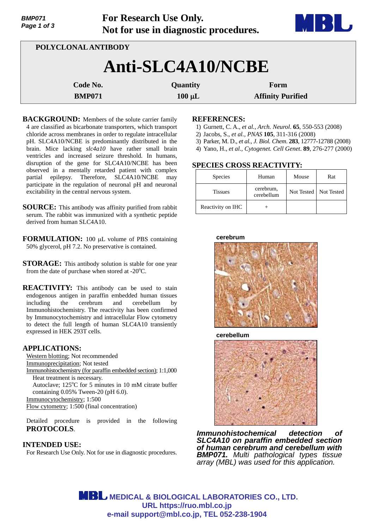| Page 1 of 3         |               | Not for use in diagnostic procedures. | <b>ENTERNATIONAL PROPERTY</b> |  |  |  |  |
|---------------------|---------------|---------------------------------------|-------------------------------|--|--|--|--|
| POLYCLONAL ANTIBODY |               |                                       |                               |  |  |  |  |
| Anti-SLC4A10/NCBE   |               |                                       |                               |  |  |  |  |
|                     | Code No.      | Quantity                              | Form                          |  |  |  |  |
|                     | <b>BMP071</b> | $100 \mu L$                           | <b>Affinity Purified</b>      |  |  |  |  |

**For Research Use Only.**

**BACKGROUND:** Members of the solute carrier family 4 are classified as bicarbonate transporters, which transport chloride across membranes in order to regulate intracellular pH. SLC4A10/NCBE is predominantly distributed in the brain. Mice lacking *slc4a10* have rather small brain ventricles and increased seizure threshold. In humans, disruption of the gene for SLC4A10/NCBE has been observed in a mentally retarded patient with complex partial epilepsy. Therefore, SLC4A10/NCBE may participate in the regulation of neuronal pH and neuronal excitability in the central nervous system.

**SOURCE:** This antibody was affinity purified from rabbit serum. The rabbit was immunized with a synthetic peptide derived from human SLC4A10.

**FORMULATION:** 100 µL volume of PBS containing 50% glycerol, pH 7.2. No preservative is contained.

**STORAGE:** This antibody solution is stable for one year from the date of purchase when stored at - $20^{\circ}$ C.

**REACTIVITY:** This antibody can be used to stain endogenous antigen in paraffin embedded human tissues including the cerebrum and cerebellum by Immunohistochemistry. The reactivity has been confirmed by Immunocytochemistry and intracellular Flow cytometry to detect the full length of human SLC4A10 transiently expressed in HEK 293T cells.

# **APPLICATIONS:**

*BMP071* 

Western blotting; Not recommended Immunoprecipitation; Not tested Immunohistochemistry (for paraffin embedded section); 1:1,000 Heat treatment is necessary. Autoclave; 125°C for 5 minutes in 10 mM citrate buffer containing 0.05% Tween-20 (pH 6.0). Immunocytochemistry; 1:500 Flow cytometry; 1:500 (final concentration)

Detailed procedure is provided in the following **PROTOCOLS**.

# **INTENDED USE:**

For Research Use Only. Not for use in diagnostic procedures.

### **REFERENCES:**

- 1) Gurnett, C. A., *et al., Arch. Neurol*. **65**, 550-553 (2008)
- 2) Jacobs, S., *et al., PNAS* **105**, 311-316 (2008)
- 3) Parker, M. D., *et al., J. Biol. Chem*. **283**, 12777-12788 (2008)
- 4) Yano, H., *et al., Cytogenet. Cell Genet*. **89**, 276-277 (2000)

# **SPECIES CROSS REACTIVITY:**

| <b>Species</b>    | Human                   | Mouse | Rat                     |
|-------------------|-------------------------|-------|-------------------------|
| <b>Tissues</b>    | cerebrum,<br>cerebellum |       | Not Tested   Not Tested |
| Reactivity on IHC |                         |       |                         |

**cerebrum**



**cerebellum** 



*Immunohistochemical detection of SLC4A10 on paraffin embedded section of human cerebrum and cerebellum with BMP071. Multi pathological types tissue array (MBL) was used for this application.*

**MBL** MEDICAL & BIOLOGICAL LABORATORIES CO., LTD. **URL https://ruo.mbl.co.jp e-mail support@mbl.co.jp, TEL 052-238-1904**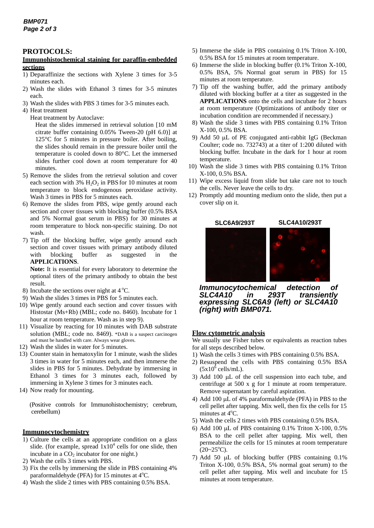# **PROTOCOLS:**

#### **Immunohistochemical staining for paraffin-embedded sections**

- 1) Deparaffinize the sections with Xylene 3 times for 3-5 minutes each.
- 2) Wash the slides with Ethanol 3 times for 3-5 minutes each.
- 3) Wash the slides with PBS 3 times for 3-5 minutes each.
- 4) Heat treatment
	- Heat treatment by Autoclave:

Heat the slides immersed in retrieval solution [10 mM citrate buffer containing 0.05% Tween-20 (pH 6.0)] at 125°C for 5 minutes in pressure boiler. After boiling, the slides should remain in the pressure boiler until the temperature is cooled down to 80°C. Let the immersed slides further cool down at room temperature for 40 minutes.

- 5) Remove the slides from the retrieval solution and cover each section with 3%  $H_2O_2$  in PBS for 10 minutes at room temperature to block endogenous peroxidase activity. Wash 3 times in PBS for 5 minutes each.
- 6) Remove the slides from PBS, wipe gently around each section and cover tissues with blocking buffer (0.5% BSA and 5% Normal goat serum in PBS) for 30 minutes at room temperature to block non-specific staining. Do not wash.
- 7) Tip off the blocking buffer, wipe gently around each section and cover tissues with primary antibody diluted with blocking buffer as suggested in the **APPLICATIONS**.

**Note:** It is essential for every laboratory to determine the optional titers of the primary antibody to obtain the best result.

- 8) Incubate the sections over night at  $4^{\circ}$ C.
- 9) Wash the slides 3 times in PBS for 5 minutes each.
- 10) Wipe gently around each section and cover tissues with Histostar (Ms+Rb) (MBL; code no. 8460). Incubate for 1 hour at room temperature. Wash as in step 9).
- 11) Visualize by reacting for 10 minutes with DAB substrate solution (MBL; code no. 8469). \*DAB is a suspect carcinogen and must be handled with care. Always wear gloves.
- 12) Wash the slides in water for 5 minutes.
- 13) Counter stain in hematoxylin for 1 minute, wash the slides 3 times in water for 5 minutes each, and then immerse the slides in PBS for 5 minutes. Dehydrate by immersing in Ethanol 3 times for 3 minutes each, followed by immersing in Xylene 3 times for 3 minutes each.
- 14) Now ready for mounting.

(Positive controls for Immunohistochemistry; cerebrum, cerebellum)

#### **Immunocytochemistry**

- 1) Culture the cells at an appropriate condition on a glass slide. (for example, spread  $1x10^4$  cells for one slide, then incubate in a  $CO<sub>2</sub>$  incubator for one night.)
- 2) Wash the cells 3 times with PBS.
- 3) Fix the cells by immersing the slide in PBS containing 4% paraformaldehyde (PFA) for 15 minutes at 4°C.
- 4) Wash the slide 2 times with PBS containing 0.5% BSA.
- 5) Immerse the slide in PBS containing 0.1% Triton X-100, 0.5% BSA for 15 minutes at room temperature.
- 6) Immerse the slide in blocking buffer (0.1% Triton X-100, 0.5% BSA, 5% Normal goat serum in PBS) for 15 minutes at room temperature.
- 7) Tip off the washing buffer, add the primary antibody diluted with blocking buffer at a titer as suggested in the **APPLICATIONS** onto the cells and incubate for 2 hours at room temperature (Optimizations of antibody titer or incubation condition are recommended if necessary.)
- 8) Wash the slide 3 times with PBS containing 0.1% Triton X-100, 0.5% BSA.
- 9) Add 50  $\mu$ L of PE conjugated anti-rabbit IgG (Beckman Coulter; code no. 732743) at a titer of 1:200 diluted with blocking buffer. Incubate in the dark for 1 hour at room temperature.
- 10) Wash the slide 3 times with PBS containing 0.1% Triton X-100, 0.5% BSA.
- 11) Wipe excess liquid from slide but take care not to touch the cells. Never leave the cells to dry.
- 12) Promptly add mounting medium onto the slide, then put a cover slip on it.



*Immunocytochemical detection of SLC4A10 in 293T transiently expressing SLC6A9 (left) or SLC4A10 (right) with BMP071.*

# **Flow cytometric analysis**

We usually use Fisher tubes or equivalents as reaction tubes for all steps described below.

- 1) Wash the cells 3 times with PBS containing 0.5% BSA.
- 2) Resuspend the cells with PBS containing 0.5% BSA  $(5x10^6 \text{ cells/mL}).$
- 3) Add 100  $\mu$ L of the cell suspension into each tube, and centrifuge at 500 x g for 1 minute at room temperature. Remove supernatant by careful aspiration.
- 4) Add 100  $\mu$ L of 4% paraformaldehyde (PFA) in PBS to the cell pellet after tapping. Mix well, then fix the cells for 15 minutes at  $4^{\circ}$ C.
- 5) Wash the cells 2 times with PBS containing 0.5% BSA.
- 6) Add 100  $\mu$ L of PBS containing 0.1% Triton X-100, 0.5% BSA to the cell pellet after tapping. Mix well, then permeabilize the cells for 15 minutes at room temperature  $(20-25^{\circ}C).$
- 7) Add 50  $\mu$ L of blocking buffer (PBS containing 0.1%) Triton X-100, 0.5% BSA, 5% normal goat serum) to the cell pellet after tapping. Mix well and incubate for 15 minutes at room temperature.